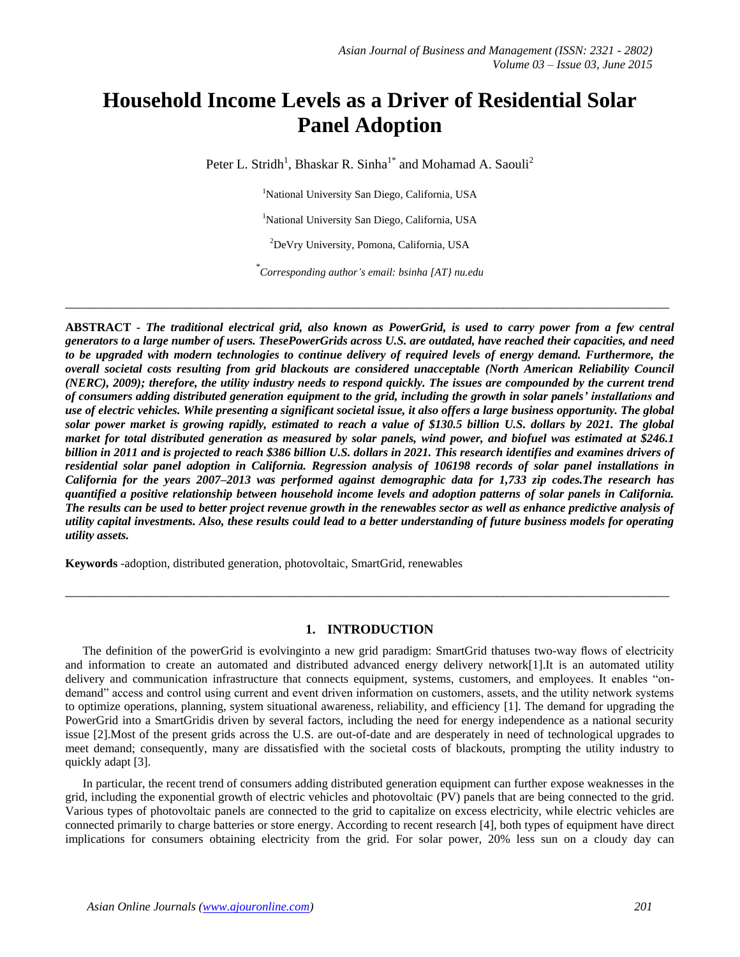# **Household Income Levels as a Driver of Residential Solar Panel Adoption**

Peter L. Stridh<sup>1</sup>, Bhaskar R. Sinha<sup>1\*</sup> and Mohamad A. Saouli<sup>2</sup>

<sup>1</sup>National University San Diego, California, USA

<sup>1</sup>National University San Diego, California, USA

<sup>2</sup>DeVry University, Pomona, California, USA

*\* Corresponding author's email: [bsinha \[AT} nu.edu](mailto:bsinha@nu.edu)*

**\_\_\_\_\_\_\_\_\_\_\_\_\_\_\_\_\_\_\_\_\_\_\_\_\_\_\_\_\_\_\_\_\_\_\_\_\_\_\_\_\_\_\_\_\_\_\_\_\_\_\_\_\_\_\_\_\_\_\_\_\_\_\_\_\_\_\_\_\_\_\_\_\_\_\_\_\_\_\_\_\_\_\_\_\_\_\_\_\_\_\_**

**ABSTRACT -** *The traditional electrical grid, also known as PowerGrid, is used to carry power from a few central generators to a large number of users. ThesePowerGrids across U.S. are outdated, have reached their capacities, and need to be upgraded with modern technologies to continue delivery of required levels of energy demand. Furthermore, the overall societal costs resulting from grid blackouts are considered unacceptable (North American Reliability Council (NERC), 2009); therefore, the utility industry needs to respond quickly. The issues are compounded by the current trend of consumers adding distributed generation equipment to the grid, including the growth in solar panels' installations and use of electric vehicles. While presenting a significant societal issue, it also offers a large business opportunity. The global solar power market is growing rapidly, estimated to reach a value of \$130.5 billion U.S. dollars by 2021. The global market for total distributed generation as measured by solar panels, wind power, and biofuel was estimated at \$246.1 billion in 2011 and is projected to reach \$386 billion U.S. dollars in 2021. This research identifies and examines drivers of residential solar panel adoption in California. Regression analysis of 106198 records of solar panel installations in California for the years 2007–2013 was performed against demographic data for 1,733 zip codes.The research has quantified a positive relationship between household income levels and adoption patterns of solar panels in California. The results can be used to better project revenue growth in the renewables sector as well as enhance predictive analysis of utility capital investments. Also, these results could lead to a better understanding of future business models for operating utility assets.*

**Keywords** -adoption, distributed generation, photovoltaic, SmartGrid, renewables

#### **1. INTRODUCTION**

**\_\_\_\_\_\_\_\_\_\_\_\_\_\_\_\_\_\_\_\_\_\_\_\_\_\_\_\_\_\_\_\_\_\_\_\_\_\_\_\_\_\_\_\_\_\_\_\_\_\_\_\_\_\_\_\_\_\_\_\_\_\_\_\_\_\_\_\_\_\_\_\_\_\_\_\_\_\_\_\_\_\_\_\_\_\_\_\_\_\_\_**

The definition of the powerGrid is evolvinginto a new grid paradigm: SmartGrid thatuses two-way flows of electricity and information to create an automated and distributed advanced energy delivery network[1].It is an automated utility delivery and communication infrastructure that connects equipment, systems, customers, and employees. It enables "ondemand" access and control using current and event driven information on customers, assets, and the utility network systems to optimize operations, planning, system situational awareness, reliability, and efficiency [1]. The demand for upgrading the PowerGrid into a SmartGridis driven by several factors, including the need for energy independence as a national security issue [2].Most of the present grids across the U.S. are out-of-date and are desperately in need of technological upgrades to meet demand; consequently, many are dissatisfied with the societal costs of blackouts, prompting the utility industry to quickly adapt [3].

In particular, the recent trend of consumers adding distributed generation equipment can further expose weaknesses in the grid, including the exponential growth of electric vehicles and photovoltaic (PV) panels that are being connected to the grid. Various types of photovoltaic panels are connected to the grid to capitalize on excess electricity, while electric vehicles are connected primarily to charge batteries or store energy. According to recent research [4], both types of equipment have direct implications for consumers obtaining electricity from the grid. For solar power, 20% less sun on a cloudy day can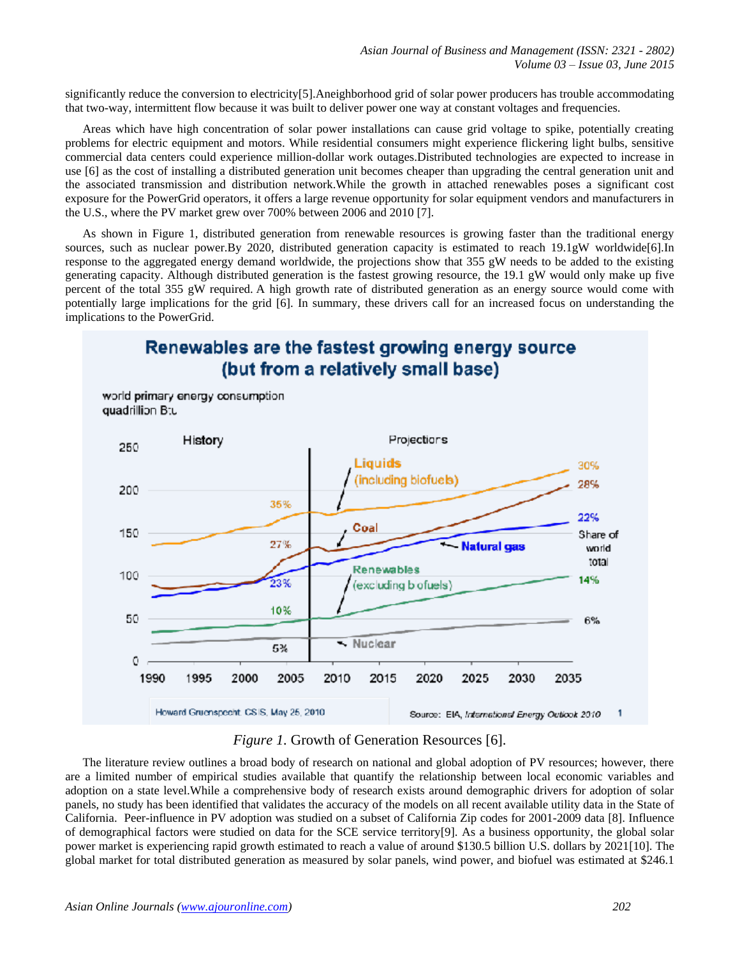significantly reduce the conversion to electricity[5].Aneighborhood grid of solar power producers has trouble accommodating that two-way, intermittent flow because it was built to deliver power one way at constant voltages and frequencies.

Areas which have high concentration of solar power installations can cause grid voltage to spike, potentially creating problems for electric equipment and motors. While residential consumers might experience flickering light bulbs, sensitive commercial data centers could experience million-dollar work outages.Distributed technologies are expected to increase in use [6] as the cost of installing a distributed generation unit becomes cheaper than upgrading the central generation unit and the associated transmission and distribution network.While the growth in attached renewables poses a significant cost exposure for the PowerGrid operators, it offers a large revenue opportunity for solar equipment vendors and manufacturers in the U.S., where the PV market grew over 700% between 2006 and 2010 [7].

As shown in Figure 1, distributed generation from renewable resources is growing faster than the traditional energy sources, such as nuclear power.By 2020, distributed generation capacity is estimated to reach 19.1gW worldwide[6].In response to the aggregated energy demand worldwide, the projections show that 355 gW needs to be added to the existing generating capacity. Although distributed generation is the fastest growing resource, the 19.1 gW would only make up five percent of the total 355 gW required. A high growth rate of distributed generation as an energy source would come with potentially large implications for the grid [6]. In summary, these drivers call for an increased focus on understanding the implications to the PowerGrid.



## *Figure 1.* Growth of Generation Resources [6].

The literature review outlines a broad body of research on national and global adoption of PV resources; however, there are a limited number of empirical studies available that quantify the relationship between local economic variables and adoption on a state level.While a comprehensive body of research exists around demographic drivers for adoption of solar panels, no study has been identified that validates the accuracy of the models on all recent available utility data in the State of California. Peer-influence in PV adoption was studied on a subset of California Zip codes for 2001-2009 data [8]. Influence of demographical factors were studied on data for the SCE service territory[9]. As a business opportunity, the global solar power market is experiencing rapid growth estimated to reach a value of around \$130.5 billion U.S. dollars by 2021[10]. The global market for total distributed generation as measured by solar panels, wind power, and biofuel was estimated at \$246.1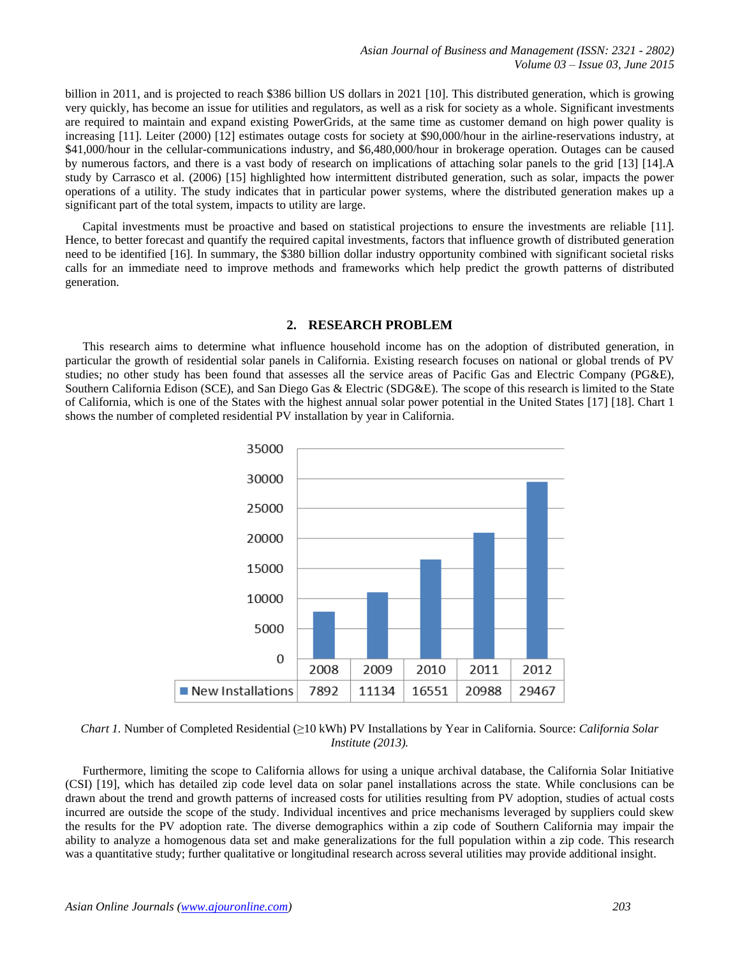*Asian Journal of Business and Management (ISSN: 2321 - 2802) Volume 03 – Issue 03, June 2015*

billion in 2011, and is projected to reach \$386 billion US dollars in 2021 [10]. This distributed generation, which is growing very quickly, has become an issue for utilities and regulators, as well as a risk for society as a whole. Significant investments are required to maintain and expand existing PowerGrids, at the same time as customer demand on high power quality is increasing [11]. Leiter (2000) [12] estimates outage costs for society at \$90,000/hour in the airline-reservations industry, at \$41,000/hour in the cellular-communications industry, and \$6,480,000/hour in brokerage operation. Outages can be caused by numerous factors, and there is a vast body of research on implications of attaching solar panels to the grid [13] [14].A study by Carrasco et al. (2006) [15] highlighted how intermittent distributed generation, such as solar, impacts the power operations of a utility. The study indicates that in particular power systems, where the distributed generation makes up a significant part of the total system, impacts to utility are large.

Capital investments must be proactive and based on statistical projections to ensure the investments are reliable [11]. Hence, to better forecast and quantify the required capital investments, factors that influence growth of distributed generation need to be identified [16]. In summary, the \$380 billion dollar industry opportunity combined with significant societal risks calls for an immediate need to improve methods and frameworks which help predict the growth patterns of distributed generation.

#### **2. RESEARCH PROBLEM**

This research aims to determine what influence household income has on the adoption of distributed generation, in particular the growth of residential solar panels in California. Existing research focuses on national or global trends of PV studies; no other study has been found that assesses all the service areas of Pacific Gas and Electric Company (PG&E), Southern California Edison (SCE), and San Diego Gas & Electric (SDG&E). The scope of this research is limited to the State of California, which is one of the States with the highest annual solar power potential in the United States [17] [18]. Chart 1 shows the number of completed residential PV installation by year in California.



*Chart 1.* Number of Completed Residential (≥10 kWh) PV Installations by Year in California. Source: *California Solar Institute (2013).*

Furthermore, limiting the scope to California allows for using a unique archival database, the California Solar Initiative (CSI) [19], which has detailed zip code level data on solar panel installations across the state. While conclusions can be drawn about the trend and growth patterns of increased costs for utilities resulting from PV adoption, studies of actual costs incurred are outside the scope of the study. Individual incentives and price mechanisms leveraged by suppliers could skew the results for the PV adoption rate. The diverse demographics within a zip code of Southern California may impair the ability to analyze a homogenous data set and make generalizations for the full population within a zip code. This research was a quantitative study; further qualitative or longitudinal research across several utilities may provide additional insight.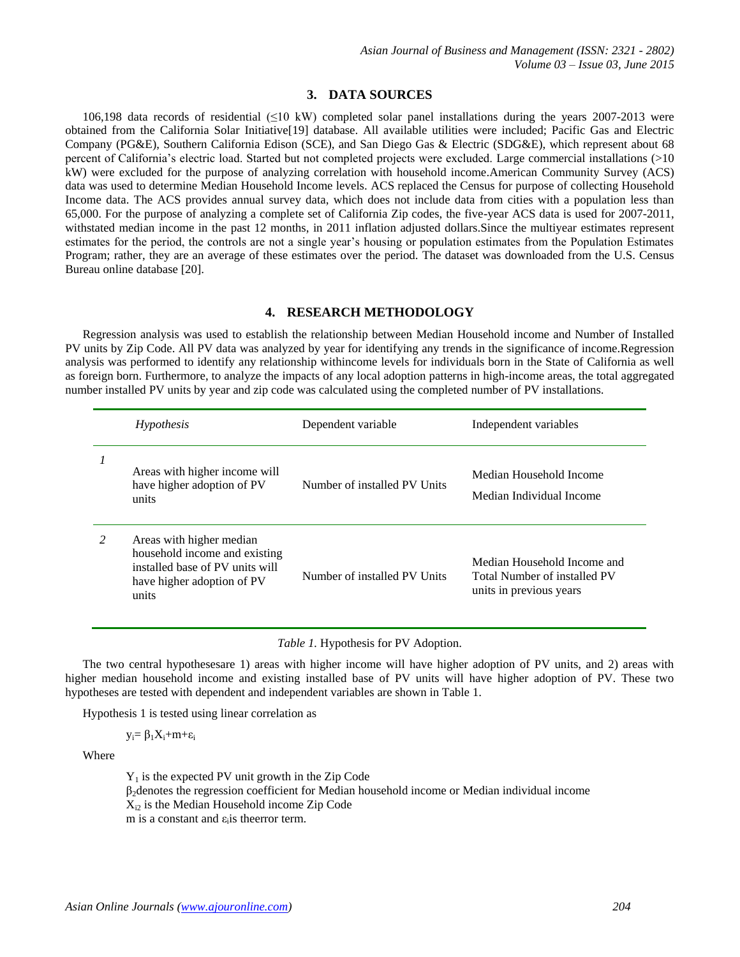## **3. DATA SOURCES**

106,198 data records of residential (≤10 kW) completed solar panel installations during the years 2007-2013 were obtained from the California Solar Initiative[19] database. All available utilities were included; Pacific Gas and Electric Company (PG&E), Southern California Edison (SCE), and San Diego Gas & Electric (SDG&E), which represent about 68 percent of California"s electric load. Started but not completed projects were excluded. Large commercial installations (>10 kW) were excluded for the purpose of analyzing correlation with household income.American Community Survey (ACS) data was used to determine Median Household Income levels. ACS replaced the Census for purpose of collecting Household Income data. The ACS provides annual survey data, which does not include data from cities with a population less than 65,000. For the purpose of analyzing a complete set of California Zip codes, the five-year ACS data is used for 2007-2011, withstated median income in the past 12 months, in 2011 inflation adjusted dollars. Since the multiyear estimates represent estimates for the period, the controls are not a single year"s housing or population estimates from the Population Estimates Program; rather, they are an average of these estimates over the period. The dataset was downloaded from the U.S. Census Bureau online database [20].

## **4. RESEARCH METHODOLOGY**

Regression analysis was used to establish the relationship between Median Household income and Number of Installed PV units by Zip Code. All PV data was analyzed by year for identifying any trends in the significance of income.Regression analysis was performed to identify any relationship withincome levels for individuals born in the State of California as well as foreign born. Furthermore, to analyze the impacts of any local adoption patterns in high-income areas, the total aggregated number installed PV units by year and zip code was calculated using the completed number of PV installations.

|          | Hypothesis                                                                                                                          | Dependent variable           | Independent variables                                                                  |
|----------|-------------------------------------------------------------------------------------------------------------------------------------|------------------------------|----------------------------------------------------------------------------------------|
| $\prime$ | Areas with higher income will<br>have higher adoption of PV<br>units                                                                | Number of installed PV Units | Median Household Income<br>Median Individual Income                                    |
|          | Areas with higher median<br>household income and existing<br>installed base of PV units will<br>have higher adoption of PV<br>units | Number of installed PV Units | Median Household Income and<br>Total Number of installed PV<br>units in previous years |

*Table 1.* Hypothesis for PV Adoption.

The two central hypothesesare 1) areas with higher income will have higher adoption of PV units, and 2) areas with higher median household income and existing installed base of PV units will have higher adoption of PV. These two hypotheses are tested with dependent and independent variables are shown in Table 1.

Hypothesis 1 is tested using linear correlation as

 $y_i = \beta_1 X_i + m + \varepsilon_i$ 

Where

 $Y_1$  is the expected PV unit growth in the Zip Code  $\beta_2$ denotes the regression coefficient for Median household income or Median individual income  $X_{i2}$  is the Median Household income Zip Code m is a constant and  $\varepsilon$ <sub>i</sub> is the error term.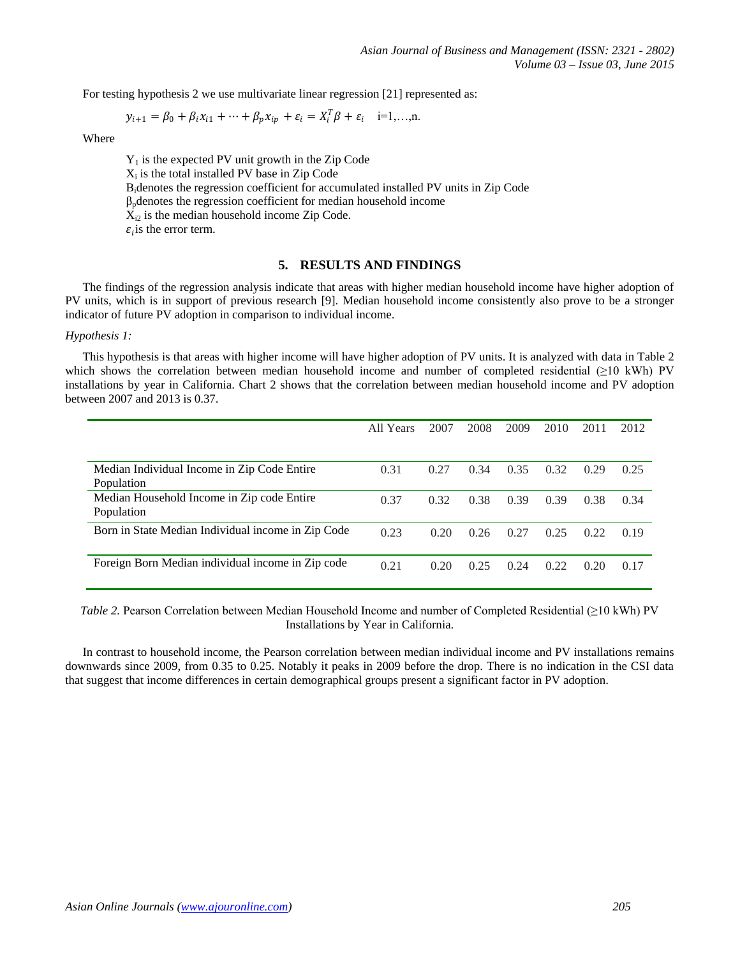For testing hypothesis 2 we use multivariate linear regression [21] represented as:

$$
y_{i+1} = \beta_0 + \beta_i x_{i1} + \dots + \beta_p x_{ip} + \varepsilon_i = X_i^T \beta + \varepsilon_i \quad i=1,\dots,n.
$$

Where

 $Y_1$  is the expected PV unit growth in the Zip Code  $X_i$  is the total installed PV base in Zip Code Βidenotes the regression coefficient for accumulated installed PV units in Zip Code  $\beta_p$  denotes the regression coefficient for median household income  $X_{i2}$  is the median household income Zip Code.  $\varepsilon_i$  is the error term.

## **5. RESULTS AND FINDINGS**

The findings of the regression analysis indicate that areas with higher median household income have higher adoption of PV units, which is in support of previous research [9]. Median household income consistently also prove to be a stronger indicator of future PV adoption in comparison to individual income.

## *Hypothesis 1:*

This hypothesis is that areas with higher income will have higher adoption of PV units. It is analyzed with data in Table 2 which shows the correlation between median household income and number of completed residential (≥10 kWh) PV installations by year in California. Chart 2 shows that the correlation between median household income and PV adoption between 2007 and 2013 is 0.37.

|                                                    | All Years | 2007 | 2008 | 2009 | 2010 | 2011 | 2012 |
|----------------------------------------------------|-----------|------|------|------|------|------|------|
|                                                    |           |      |      |      |      |      |      |
| Median Individual Income in Zip Code Entire        | 0.31      | 0.27 | 0.34 | 0.35 | 0.32 | 0.29 | 0.25 |
| Population                                         |           |      |      |      |      |      |      |
| Median Household Income in Zip code Entire         | 0.37      | 0.32 | 0.38 | 0.39 | 0.39 | 0.38 | 0.34 |
| Population                                         |           |      |      |      |      |      |      |
| Born in State Median Individual income in Zip Code | 0.23      | 0.20 | 0.26 | 0.27 | 0.25 | 0.22 | 0.19 |
|                                                    |           |      |      |      |      |      |      |
| Foreign Born Median individual income in Zip code  | 0.21      | 0.20 | 0.25 | 0.24 | 0.22 | 0.20 | 0.17 |
|                                                    |           |      |      |      |      |      |      |

*Table 2.* Pearson Correlation between Median Household Income and number of Completed Residential (≥10 kWh) PV Installations by Year in California.

In contrast to household income, the Pearson correlation between median individual income and PV installations remains downwards since 2009, from 0.35 to 0.25. Notably it peaks in 2009 before the drop. There is no indication in the CSI data that suggest that income differences in certain demographical groups present a significant factor in PV adoption.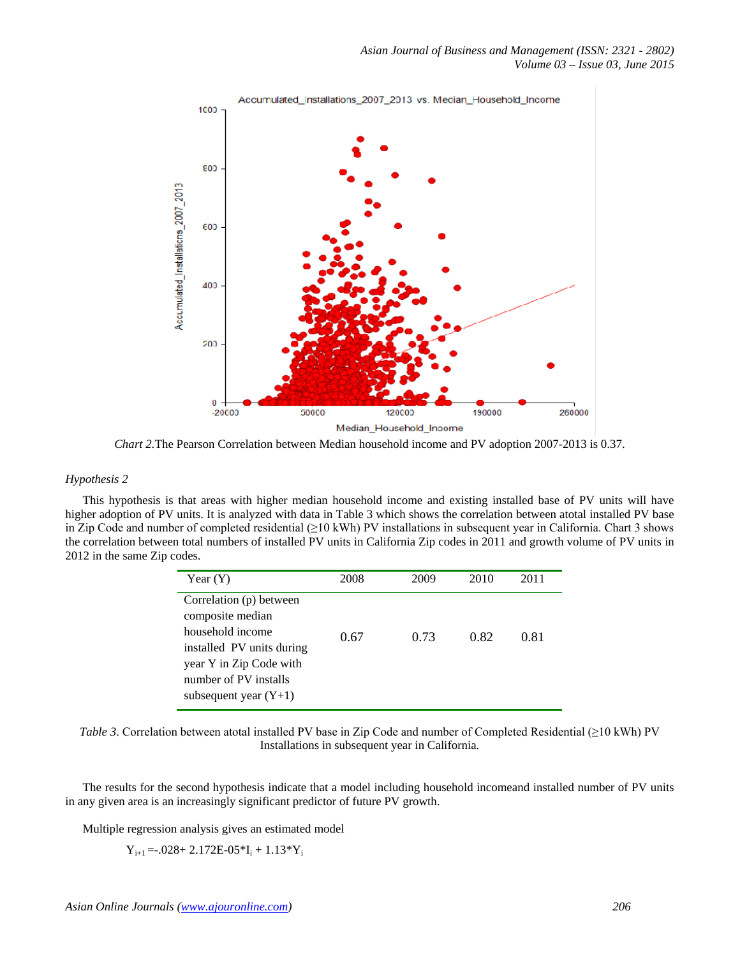

*Chart 2.*The Pearson Correlation between Median household income and PV adoption 2007-2013 is 0.37.

## *Hypothesis 2*

This hypothesis is that areas with higher median household income and existing installed base of PV units will have higher adoption of PV units. It is analyzed with data in Table 3 which shows the correlation between atotal installed PV base in Zip Code and number of completed residential (≥10 kWh) PV installations in subsequent year in California. Chart 3 shows the correlation between total numbers of installed PV units in California Zip codes in 2011 and growth volume of PV units in 2012 in the same Zip codes.

| Year $(Y)$                                                                                                                                                                  | 2008 | 2009 | 2010 | 2011 |
|-----------------------------------------------------------------------------------------------------------------------------------------------------------------------------|------|------|------|------|
| Correlation (p) between<br>composite median<br>household income<br>installed PV units during<br>year Y in Zip Code with<br>number of PV installs<br>subsequent year $(Y+1)$ | 0.67 | 0.73 | 0.82 | 0.81 |

*Table 3*. Correlation between atotal installed PV base in Zip Code and number of Completed Residential (≥10 kWh) PV Installations in subsequent year in California.

The results for the second hypothesis indicate that a model including household incomeand installed number of PV units in any given area is an increasingly significant predictor of future PV growth.

Multiple regression analysis gives an estimated model

 $Y_{i+1} = -0.028 + 2.172E - 0.05*I_i + 1.13*Y_i$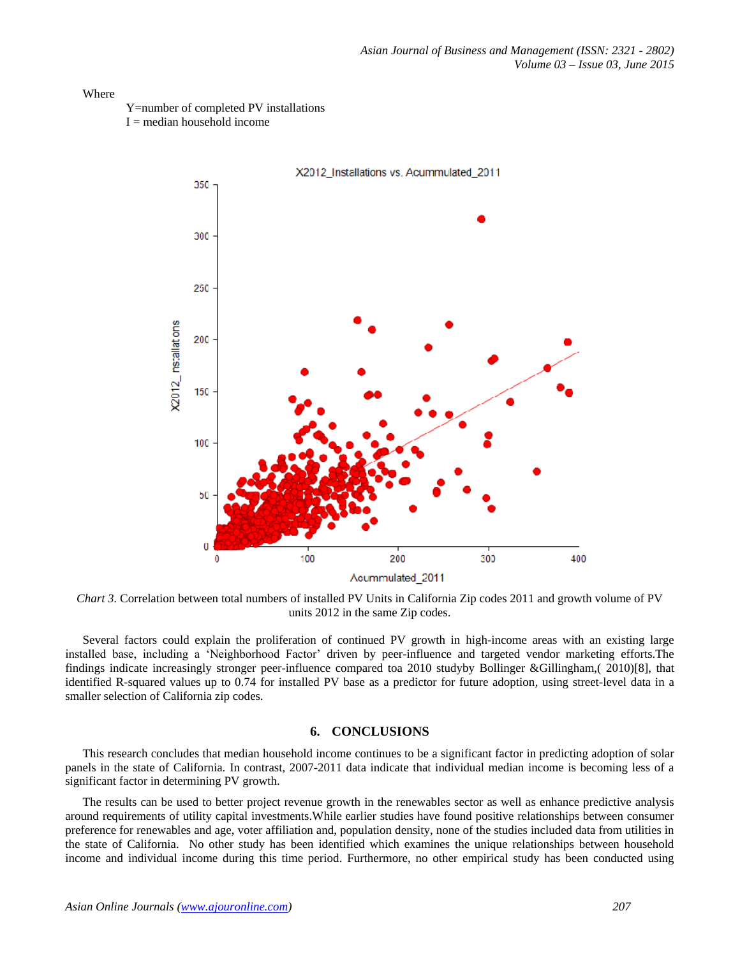## Where

Y=number of completed PV installations

 $I =$  median household income



*Chart 3.* Correlation between total numbers of installed PV Units in California Zip codes 2011 and growth volume of PV units 2012 in the same Zip codes.

Several factors could explain the proliferation of continued PV growth in high-income areas with an existing large installed base, including a "Neighborhood Factor" driven by peer-influence and targeted vendor marketing efforts.The findings indicate increasingly stronger peer-influence compared toa 2010 studyby Bollinger &Gillingham,( 2010)[8], that identified R-squared values up to 0.74 for installed PV base as a predictor for future adoption, using street-level data in a smaller selection of California zip codes.

## **6. CONCLUSIONS**

This research concludes that median household income continues to be a significant factor in predicting adoption of solar panels in the state of California. In contrast, 2007-2011 data indicate that individual median income is becoming less of a significant factor in determining PV growth.

The results can be used to better project revenue growth in the renewables sector as well as enhance predictive analysis around requirements of utility capital investments.While earlier studies have found positive relationships between consumer preference for renewables and age, voter affiliation and, population density, none of the studies included data from utilities in the state of California. No other study has been identified which examines the unique relationships between household income and individual income during this time period. Furthermore, no other empirical study has been conducted using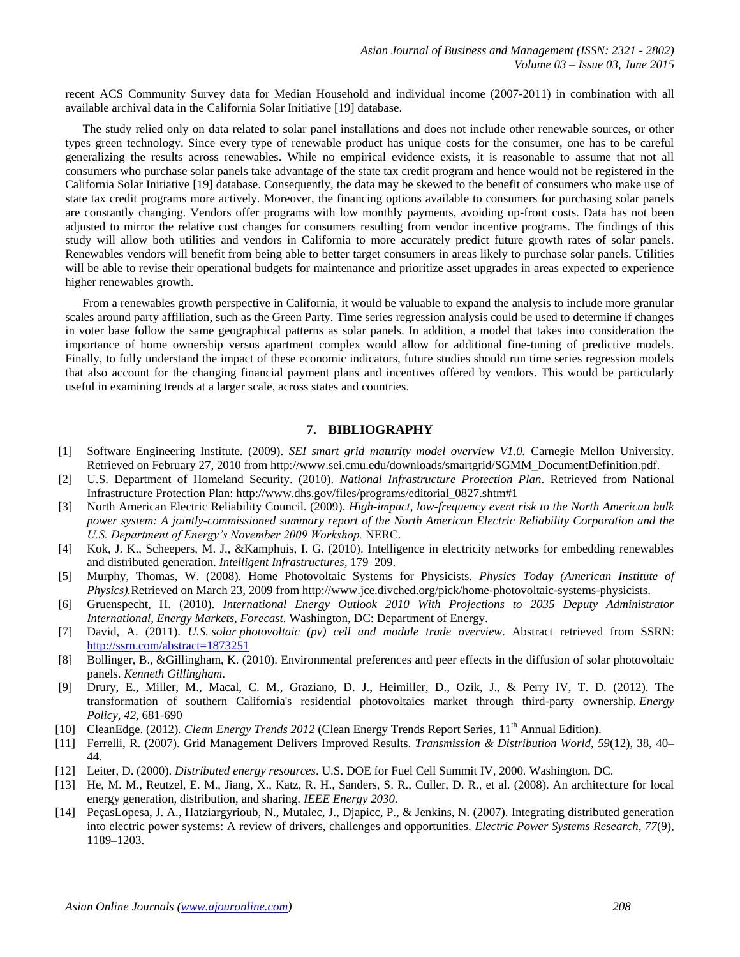recent ACS Community Survey data for Median Household and individual income (2007-2011) in combination with all available archival data in the California Solar Initiative [19] database.

The study relied only on data related to solar panel installations and does not include other renewable sources, or other types green technology. Since every type of renewable product has unique costs for the consumer, one has to be careful generalizing the results across renewables. While no empirical evidence exists, it is reasonable to assume that not all consumers who purchase solar panels take advantage of the state tax credit program and hence would not be registered in the California Solar Initiative [19] database. Consequently, the data may be skewed to the benefit of consumers who make use of state tax credit programs more actively. Moreover, the financing options available to consumers for purchasing solar panels are constantly changing. Vendors offer programs with low monthly payments, avoiding up-front costs. Data has not been adjusted to mirror the relative cost changes for consumers resulting from vendor incentive programs. The findings of this study will allow both utilities and vendors in California to more accurately predict future growth rates of solar panels. Renewables vendors will benefit from being able to better target consumers in areas likely to purchase solar panels. Utilities will be able to revise their operational budgets for maintenance and prioritize asset upgrades in areas expected to experience higher renewables growth.

From a renewables growth perspective in California, it would be valuable to expand the analysis to include more granular scales around party affiliation, such as the Green Party. Time series regression analysis could be used to determine if changes in voter base follow the same geographical patterns as solar panels. In addition, a model that takes into consideration the importance of home ownership versus apartment complex would allow for additional fine-tuning of predictive models. Finally, to fully understand the impact of these economic indicators, future studies should run time series regression models that also account for the changing financial payment plans and incentives offered by vendors. This would be particularly useful in examining trends at a larger scale, across states and countries.

## **7. BIBLIOGRAPHY**

- [1] Software Engineering Institute. (2009). *SEI smart grid maturity model overview V1.0.* Carnegie Mellon University. Retrieved on February 27, 2010 from http://www.sei.cmu.edu/downloads/smartgrid/SGMM\_DocumentDefinition.pdf.
- [2] U.S. Department of Homeland Security. (2010). *National Infrastructure Protection Plan*. Retrieved from National Infrastructure Protection Plan: http://www.dhs.gov/files/programs/editorial\_0827.shtm#1
- [3] North American Electric Reliability Council. (2009). *High-impact, low-frequency event risk to the North American bulk power system: A jointly-commissioned summary report of the North American Electric Reliability Corporation and the U.S. Department of Energy's November 2009 Workshop.* NERC.
- [4] Kok, J. K., Scheepers, M. J., &Kamphuis, I. G. (2010). Intelligence in electricity networks for embedding renewables and distributed generation. *Intelligent Infrastructures,* 179–209.
- [5] Murphy, Thomas, W. (2008). Home Photovoltaic Systems for Physicists. *Physics Today (American Institute of Physics).*Retrieved on March 23, 2009 from http://www.jce.divched.org/pick/home-photovoltaic-systems-physicists.
- [6] Gruenspecht, H. (2010). *International Energy Outlook 2010 With Projections to 2035 Deputy Administrator International, Energy Markets, Forecast.* Washington, DC: Department of Energy.
- [7] David, A. (2011). *U.S. solar photovoltaic (pv) cell and module trade overview*. Abstract retrieved from SSRN: <http://ssrn.com/abstract=1873251>
- [8] Bollinger, B., &Gillingham, K. (2010). Environmental preferences and peer effects in the diffusion of solar photovoltaic panels. *Kenneth Gillingham*.
- [9] Drury, E., Miller, M., Macal, C. M., Graziano, D. J., Heimiller, D., Ozik, J., & Perry IV, T. D. (2012). The transformation of southern California's residential photovoltaics market through third-party ownership. *Energy Policy*, *42*, 681-690
- [10] CleanEdge. (2012). Clean Energy Trends 2012 (Clean Energy Trends Report Series, 11<sup>th</sup> Annual Edition).
- [11] Ferrelli, R. (2007). Grid Management Delivers Improved Results. *Transmission & Distribution World, 59*(12), 38, 40– 44.
- [12] Leiter, D. (2000). *Distributed energy resources*. U.S. DOE for Fuel Cell Summit IV, 2000*.* Washington, DC.
- [13] He, M. M., Reutzel, E. M., Jiang, X., Katz, R. H., Sanders, S. R., Culler, D. R., et al. (2008). An architecture for local energy generation, distribution, and sharing. *IEEE Energy 2030.*
- [14] PeçasLopesa, J. A., Hatziargyrioub, N., Mutalec, J., Djapicc, P., & Jenkins, N. (2007). Integrating distributed generation into electric power systems: A review of drivers, challenges and opportunities. *Electric Power Systems Research, 77*(9), 1189–1203.